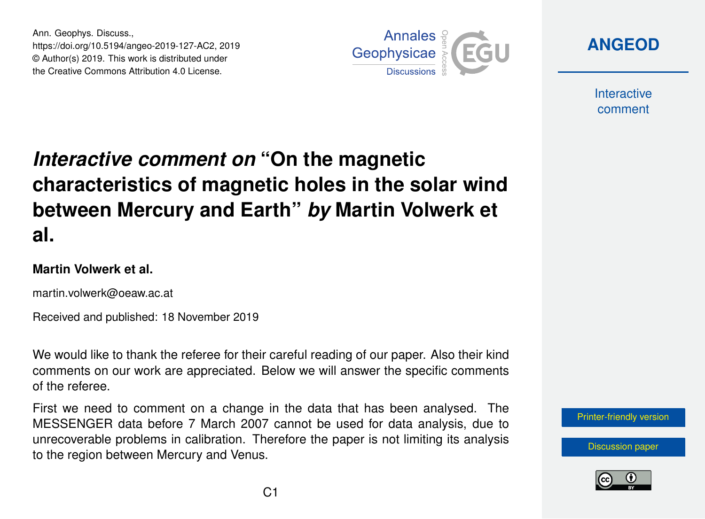Ann. Geophys. Discuss., https://doi.org/10.5194/angeo-2019-127-AC2, 2019 © Author(s) 2019. This work is distributed under the Creative Commons Attribution 4.0 License.



**[ANGEOD](https://www.ann-geophys-discuss.net/)**

**Interactive** comment

## *Interactive comment on* **"On the magnetic characteristics of magnetic holes in the solar wind between Mercury and Earth"** *by* **Martin Volwerk et al.**

## **Martin Volwerk et al.**

martin.volwerk@oeaw.ac.at

Received and published: 18 November 2019

We would like to thank the referee for their careful reading of our paper. Also their kind comments on our work are appreciated. Below we will answer the specific comments of the referee.

First we need to comment on a change in the data that has been analysed. The MESSENGER data before 7 March 2007 cannot be used for data analysis, due to unrecoverable problems in calibration. Therefore the paper is not limiting its analysis to the region between Mercury and Venus.

[Printer-friendly version](https://www.ann-geophys-discuss.net/angeo-2019-127/angeo-2019-127-AC2-print.pdf)

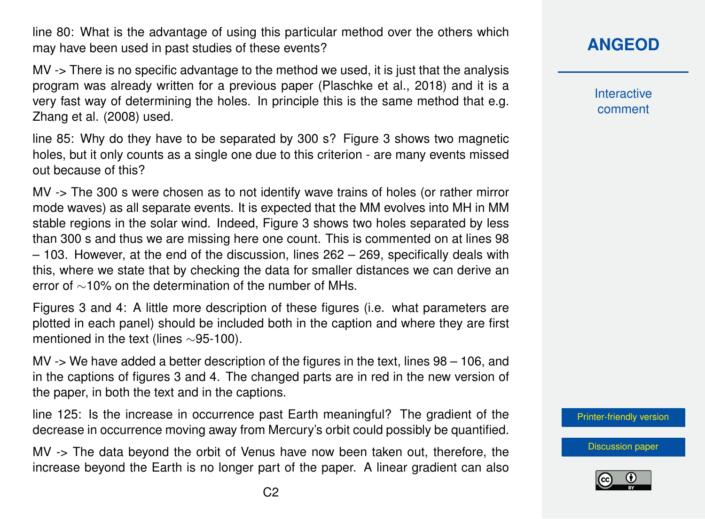line 80: What is the advantage of using this particular method over the others which may have been used in past studies of these events?

MV -> There is no specific advantage to the method we used, it is just that the analysis program was already written for a previous paper (Plaschke et al., 2018) and it is a very fast way of determining the holes. In principle this is the same method that e.g. Zhang et al. (2008) used.

line 85: Why do they have to be separated by 300 s? Figure 3 shows two magnetic holes, but it only counts as a single one due to this criterion - are many events missed out because of this?

MV -> The 300 s were chosen as to not identify wave trains of holes (or rather mirror mode waves) as all separate events. It is expected that the MM evolves into MH in MM stable regions in the solar wind. Indeed, Figure 3 shows two holes separated by less than 300 s and thus we are missing here one count. This is commented on at lines 98 – 103. However, at the end of the discussion, lines 262 – 269, specifically deals with this, where we state that by checking the data for smaller distances we can derive an error of ∼10% on the determination of the number of MHs.

Figures 3 and 4: A little more description of these figures (i.e. what parameters are plotted in each panel) should be included both in the caption and where they are first mentioned in the text (lines ∼95-100).

MV -> We have added a better description of the figures in the text, lines 98 – 106, and in the captions of figures 3 and 4. The changed parts are in red in the new version of the paper, in both the text and in the captions.

line 125: Is the increase in occurrence past Earth meaningful? The gradient of the decrease in occurrence moving away from Mercury's orbit could possibly be quantified.

MV -> The data beyond the orbit of Venus have now been taken out, therefore, the increase beyond the Earth is no longer part of the paper. A linear gradient can also **Interactive** comment

[Printer-friendly version](https://www.ann-geophys-discuss.net/angeo-2019-127/angeo-2019-127-AC2-print.pdf)

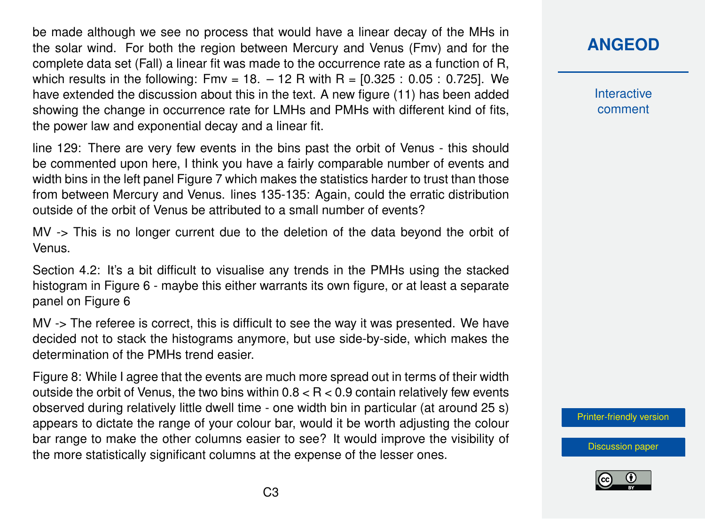be made although we see no process that would have a linear decay of the MHs in the solar wind. For both the region between Mercury and Venus (Fmv) and for the complete data set (Fall) a linear fit was made to the occurrence rate as a function of R, which results in the following:  $Fmv = 18. - 12$  R with  $R = [0.325 : 0.05 : 0.725]$ . We have extended the discussion about this in the text. A new figure (11) has been added showing the change in occurrence rate for LMHs and PMHs with different kind of fits, the power law and exponential decay and a linear fit.

line 129: There are very few events in the bins past the orbit of Venus - this should be commented upon here, I think you have a fairly comparable number of events and width bins in the left panel Figure 7 which makes the statistics harder to trust than those from between Mercury and Venus. lines 135-135: Again, could the erratic distribution outside of the orbit of Venus be attributed to a small number of events?

MV -> This is no longer current due to the deletion of the data beyond the orbit of Venus.

Section 4.2: It's a bit difficult to visualise any trends in the PMHs using the stacked histogram in Figure 6 - maybe this either warrants its own figure, or at least a separate panel on Figure 6

MV -> The referee is correct, this is difficult to see the way it was presented. We have decided not to stack the histograms anymore, but use side-by-side, which makes the determination of the PMHs trend easier.

Figure 8: While I agree that the events are much more spread out in terms of their width outside the orbit of Venus, the two bins within  $0.8 < R < 0.9$  contain relatively few events observed during relatively little dwell time - one width bin in particular (at around 25 s) appears to dictate the range of your colour bar, would it be worth adjusting the colour bar range to make the other columns easier to see? It would improve the visibility of the more statistically significant columns at the expense of the lesser ones.

## **[ANGEOD](https://www.ann-geophys-discuss.net/)**

**Interactive** comment

[Printer-friendly version](https://www.ann-geophys-discuss.net/angeo-2019-127/angeo-2019-127-AC2-print.pdf)

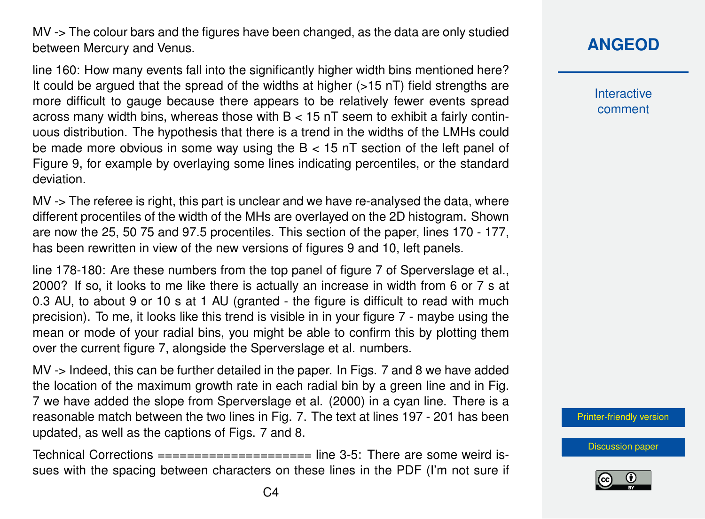MV -> The colour bars and the figures have been changed, as the data are only studied between Mercury and Venus.

line 160: How many events fall into the significantly higher width bins mentioned here? It could be argued that the spread of the widths at higher (>15 nT) field strengths are more difficult to gauge because there appears to be relatively fewer events spread across many width bins, whereas those with  $B < 15$  nT seem to exhibit a fairly continuous distribution. The hypothesis that there is a trend in the widths of the LMHs could be made more obvious in some way using the B < 15 nT section of the left panel of Figure 9, for example by overlaying some lines indicating percentiles, or the standard deviation.

MV -> The referee is right, this part is unclear and we have re-analysed the data, where different procentiles of the width of the MHs are overlayed on the 2D histogram. Shown are now the 25, 50 75 and 97.5 procentiles. This section of the paper, lines 170 - 177, has been rewritten in view of the new versions of figures 9 and 10, left panels.

line 178-180: Are these numbers from the top panel of figure 7 of Sperverslage et al., 2000? If so, it looks to me like there is actually an increase in width from 6 or 7 s at 0.3 AU, to about 9 or 10 s at 1 AU (granted - the figure is difficult to read with much precision). To me, it looks like this trend is visible in in your figure 7 - maybe using the mean or mode of your radial bins, you might be able to confirm this by plotting them over the current figure 7, alongside the Sperverslage et al. numbers.

MV -> Indeed, this can be further detailed in the paper. In Figs. 7 and 8 we have added the location of the maximum growth rate in each radial bin by a green line and in Fig. 7 we have added the slope from Sperverslage et al. (2000) in a cyan line. There is a reasonable match between the two lines in Fig. 7. The text at lines 197 - 201 has been updated, as well as the captions of Figs. 7 and 8.

Technical Corrections ===================== line 3-5: There are some weird issues with the spacing between characters on these lines in the PDF (I'm not sure if **Interactive** comment

[Printer-friendly version](https://www.ann-geophys-discuss.net/angeo-2019-127/angeo-2019-127-AC2-print.pdf)

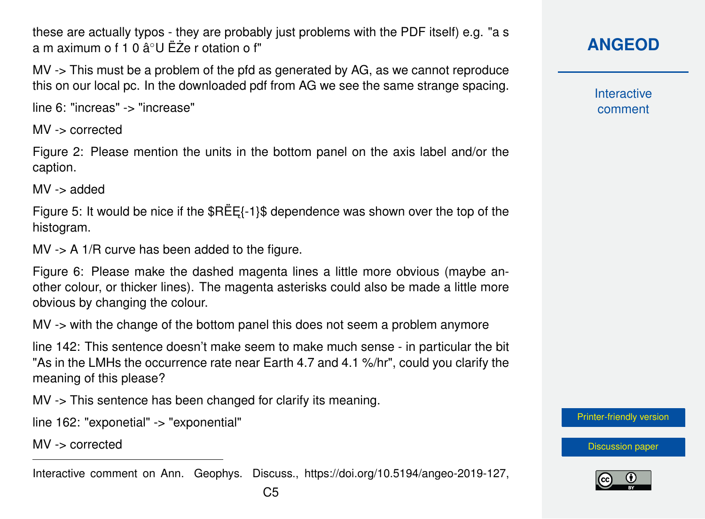these are actually typos - they are probably just problems with the PDF itself) e.g. "a s a m aximum o f 1 0 â $^{\circ}$ U ËZe r otation o f"

MV -> This must be a problem of the pfd as generated by AG, as we cannot reproduce this on our local pc. In the downloaded pdf from AG we see the same strange spacing.

line 6: "increas" -> "increase"

MV -> corrected

Figure 2: Please mention the units in the bottom panel on the axis label and/or the caption.

MV -> added

Figure 5: It would be nice if the  $REE{-1}$ \$ dependence was shown over the top of the histogram.

 $MV \rightarrow A$  1/R curve has been added to the figure.

Figure 6: Please make the dashed magenta lines a little more obvious (maybe another colour, or thicker lines). The magenta asterisks could also be made a little more obvious by changing the colour.

MV -> with the change of the bottom panel this does not seem a problem anymore

line 142: This sentence doesn't make seem to make much sense - in particular the bit "As in the LMHs the occurrence rate near Earth 4.7 and 4.1 %/hr", could you clarify the meaning of this please?

MV -> This sentence has been changed for clarify its meaning.

line 162: "exponetial" -> "exponential"

MV -> corrected

Interactive comment on Ann. Geophys. Discuss., https://doi.org/10.5194/angeo-2019-127,

**Interactive** comment

[Printer-friendly version](https://www.ann-geophys-discuss.net/angeo-2019-127/angeo-2019-127-AC2-print.pdf)